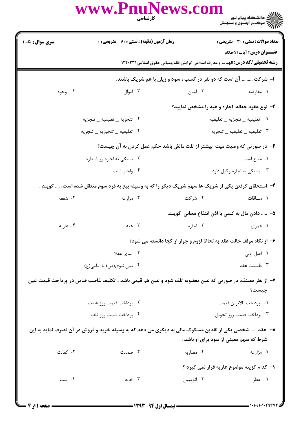|                             | www.PnuNews.com<br>كارشناسي                                                                            |                                                                                      |                                                                                   |  |
|-----------------------------|--------------------------------------------------------------------------------------------------------|--------------------------------------------------------------------------------------|-----------------------------------------------------------------------------------|--|
| <b>سری سوال :</b> یک ۱      | <b>زمان آزمون (دقیقه) : تستی : 60 ٪ تشریحی : 0</b>                                                     |                                                                                      | <b>تعداد سوالات : تستي : 30 ٪ تشريحي : 0</b><br><b>عنـــوان درس:</b> آيات الاحكام |  |
|                             |                                                                                                        | <b>رشته تحصیلی/کد درس:</b> الهیات و معارف اسلامی گرایش فقه ومبانی حقوق اسلامی۱۲۲۰۲۳۱ |                                                                                   |  |
|                             |                                                                                                        | ا- شرکت  آن است که دو نفر در کسب ، سود و زیان با هم شریک باشند.                      |                                                                                   |  |
| ۰۴ وجوه                     | ۰۳ اموال                                                                                               | ۰۲ ابدان                                                                             | ۰۱ مفاوضه                                                                         |  |
|                             |                                                                                                        | ۲- نوع عقود جعاله، اجاره و هبه را مشخص نمایید؟                                       |                                                                                   |  |
|                             | ٠٢ تنجزيه _ تعليقيه _ تنجزيه                                                                           | ٠١ تعليقيه _ تنجزيه _ تعليقيه                                                        |                                                                                   |  |
|                             | ۰۴ تعلیقیه _ تنجیزیه _ تنجزیه                                                                          |                                                                                      | ٠٣ تعليقيه _ تعليقيه _ تنجزيه                                                     |  |
|                             | <b>۳</b> - در صورتی که وصیت میت بیشتر از ثلث مالش باشد حکم عمل کردن به آن چیست؟                        |                                                                                      |                                                                                   |  |
| ۰۲ بستگی به اجازه وراث دارد |                                                                                                        |                                                                                      | ٠١. مباح است                                                                      |  |
|                             | ۰۴ واجب است                                                                                            |                                                                                      | ۰۳ بستگی به اجازه وکیل دارد                                                       |  |
|                             | ۴– استحقاق گرفتن یکی از شریک ها سهم شریک دیگر را که به وسیله بیع به فرد سوم منتقل شده است، …. گویند .  |                                                                                      |                                                                                   |  |
| ۰۴ شفعه                     | ۰۳ مزارعه                                                                                              | ۰۲ شرکت                                                                              | ۰۱ مساقات                                                                         |  |
|                             |                                                                                                        | ۵−   دادن مال به کسی با اذن انتفاع مجانی گویند.                                      |                                                                                   |  |
| ۰۴ عاریه                    | ۰۳ هېه                                                                                                 | ۰۲ اجاره                                                                             | ۰۱ عمری                                                                           |  |
|                             |                                                                                                        | ۶– از نگاه مولف حالت عقد به لحاظ لزوم و جواز از کجا دانسته می شود؟                   |                                                                                   |  |
|                             | ۰۲ بنای عقلا                                                                                           | ۰۱ اصل اولی                                                                          |                                                                                   |  |
|                             | ۰۴ بیان نبوی(ص) یا امامی(ع)                                                                            |                                                                                      | ۰۳ طبیعت عقد                                                                      |  |
|                             | ۷– از نظر مصنف، در صورتی که عین مغضوبه تلف شود و عین هم قیمی باشد ، تکلیف غاصب ضامن در پرداخت قیمت عین |                                                                                      | چیست؟                                                                             |  |
|                             | ۰۲ پرداخت قیمت روز غصب                                                                                 |                                                                                      | ٠١.   پرداخت بالاترين قيمت                                                        |  |
|                             | ۰۴ پرداخت قیمت روز تلف                                                                                 |                                                                                      | ۰۳ پرداخت قیمت روز تحویل                                                          |  |
|                             | ۸– عقد  شخصی یکی از نقدین مسکوک مالی به دیگری می دهد که به وسیله خرید و فروش در آن تصرف نماید به این   |                                                                                      |                                                                                   |  |
|                             |                                                                                                        | شرط که سهم معینی از سود برای او باشد .                                               |                                                                                   |  |
| ۰۴ كفالت                    | ۰۳ ضمانت                                                                                               | ۰۲ مضاربه                                                                            | ۰۱ مزارعه                                                                         |  |
|                             |                                                                                                        |                                                                                      | ۹– کدام گزینه موضوع عاریه قرار نمی گیرد ؟                                         |  |
| ۰۴ اسب                      | ۰۳ خانه                                                                                                | ۰۲ اتومبیل                                                                           | ۰۱ عطر                                                                            |  |
|                             |                                                                                                        |                                                                                      |                                                                                   |  |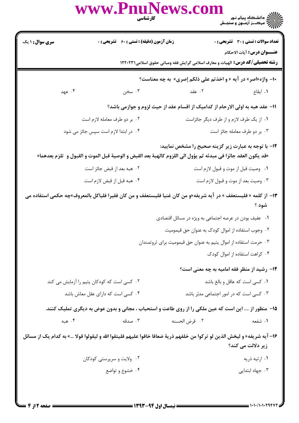|                                                                                                                                                                              | www.PnuNews.com                                  | )<br>)))))) دانشگاه پیام نور<br>))))) – مرکــز آزمـون و سنجـش<br><b>کارشناسی</b><br>استان                                                    |  |  |
|------------------------------------------------------------------------------------------------------------------------------------------------------------------------------|--------------------------------------------------|----------------------------------------------------------------------------------------------------------------------------------------------|--|--|
| <b>سری سوال : ۱ یک</b>                                                                                                                                                       | <b>زمان آزمون (دقیقه) : تستی : 60 گشریحی : 0</b> | تعداد سوالات : تستى : 30 ٪ تشريحي : 0                                                                                                        |  |  |
|                                                                                                                                                                              |                                                  | <b>عنـــوان درس:</b> آیات الاحکام                                                                                                            |  |  |
|                                                                                                                                                                              |                                                  | <b>رشته تحصیلی/کد درس:</b> الهیات و معارف اسلامی گرایش فقه ومبانی حقوق اسلامی۱۲۲۰۲۳۱                                                         |  |  |
|                                                                                                                                                                              |                                                  | <b>۰۱- واژه«اصر» در آیه « و اخذتم علی ذلکم إصری» به چه معناست؟</b>                                                                           |  |  |
| ۰۴ عهد                                                                                                                                                                       | ۰۳ سخن                                           | <b>۱.</b> ایقاع مسلمان است که تعداد ایتقاع مسلمان این است که است که است که این است که است که است که است که است که ا                          |  |  |
|                                                                                                                                                                              |                                                  | 11- عقد هبه به اولی الارحام از کدامیک از اقسام عقد از حیث لزوم و جوازمی باشد؟                                                                |  |  |
|                                                                                                                                                                              | ۰۲ بر دو طرف معامله لازم است                     | ٠١ از يک طرف لازم و از طرف ديگر جائزاست                                                                                                      |  |  |
|                                                                                                                                                                              | ۰۴ در ابتدا لازم است سپس جائز می شود             | ۰۳ بر دو طرف معامله جائز است                                                                                                                 |  |  |
| <b>۱۲</b> - با توجه به عبارت زیر گزینه صحیح را مشخص نمایید:<br>«قد يكون العقد جائزا في مبدئه ثم يؤول الى اللزوم كالهبة بعد القبض و الوصية قبل الموت و القبول و  تلزم بعدهما» |                                                  |                                                                                                                                              |  |  |
|                                                                                                                                                                              | ۰۲ هبه بعد از قبض جائز است                       | ٠١ وصيت قبل از موت و قبول لازم است                                                                                                           |  |  |
|                                                                                                                                                                              | ۰۴ هبه قبل از قبض لازم است                       | ۰۳ وصیت بعد از موت و قبول لازم است                                                                                                           |  |  |
| ۱۳– از کلمه « فلیستعفف » در آیه شریفه«و من کان غنیا فلیستعفف و من کان فقیرا فلیاکل بالمعروف»چه حکمی استفاده می<br>شود ؟                                                      |                                                  |                                                                                                                                              |  |  |
|                                                                                                                                                                              |                                                  | ۰۱ عفیف بودن در عرصه اجتماعی به ویژه در مسائل اقتصادی                                                                                        |  |  |
|                                                                                                                                                                              |                                                  | ۰۲ وجوب استفاده از اموال کودک به عنوان حق قیمومیت                                                                                            |  |  |
|                                                                                                                                                                              |                                                  | ۰۳ حرمت استفاده از اموال يتيم به عنوان حق قيموميت براي ثروتمندان                                                                             |  |  |
|                                                                                                                                                                              |                                                  | ۰۴ کراهت استفاده از اموال کودک                                                                                                               |  |  |
|                                                                                                                                                                              |                                                  | <b>۱۴</b> - رشید از منظر فقه امامیه به چه معنی است؟                                                                                          |  |  |
|                                                                                                                                                                              | ۰۲ کسی است که کودکان یتیم را آزمایش می کند       | ٠١ كسى است كه عاقل وبالغ باشد                                                                                                                |  |  |
|                                                                                                                                                                              | ۰۴ کسی است که دارای عقل معاش باشد                | ۰۳ کسی است که در امور اجتماعی مدبّر باشد                                                                                                     |  |  |
| ۱۵– منظور از …. این است که عین ملکی را از روی طاعت و استحباب ، مجانی و بدون عوض به دیگری تملیک کنند.                                                                         |                                                  |                                                                                                                                              |  |  |
| ۰۴ هېه                                                                                                                                                                       | ۰۳ صدقه                                          | ٠٢ قرض الحسنه<br>۱. شفعه                                                                                                                     |  |  |
|                                                                                                                                                                              |                                                  | 1۶– آيه شريفه« و ليخش الذين لو تركوا من خلفهم ذرية ضعافا خافوا عليهم فليتقوا الله و ليقولوا قولا …» به كدام يك از مسائل<br>زیر دلالت می کند؟ |  |  |
|                                                                                                                                                                              | ۰۲ ولايت و سرپرستي كودكان                        | ۰۱ ارثیه ذریه                                                                                                                                |  |  |
| ۰۴ خشوع و تواضع                                                                                                                                                              |                                                  | ۰۳ جهاد ابتدایی                                                                                                                              |  |  |
|                                                                                                                                                                              |                                                  |                                                                                                                                              |  |  |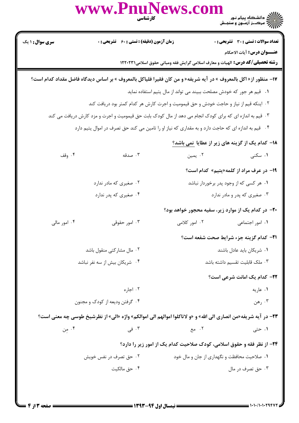|                                                                                       | www.PnuNews.co<br>كارشناسي                                                                                      |                                                                                      |                                                        |  |
|---------------------------------------------------------------------------------------|-----------------------------------------------------------------------------------------------------------------|--------------------------------------------------------------------------------------|--------------------------------------------------------|--|
| <b>سری سوال : ۱ یک</b>                                                                | زمان آزمون (دقیقه) : تستی : 60 ٪ تشریحی : 0                                                                     |                                                                                      | <b>تعداد سوالات : تستی : 30 - تشریحی : 0</b>           |  |
|                                                                                       |                                                                                                                 | <b>رشته تحصیلی/کد درس:</b> الهیات و معارف اسلامی گرایش فقه ومبانی حقوق اسلامی1۲۲۰۲۳۱ | <b>عنـــوان درس:</b> آيات الاحكام                      |  |
|                                                                                       | IV− منظور از« اكل بالمعروف » در آيه شريفه« و من كان فقيرا فلياكل بالمعروف » بر اساس ديدگاه فاضل مقداد كدام است؟ |                                                                                      |                                                        |  |
|                                                                                       |                                                                                                                 | ۰۱ قیم هر جور که خودش مصلحت ببیند می تواند از مال یتیم استفاده نماید                 |                                                        |  |
| ۰۲ اینکه قیم از نیاز و حاجت خودش و حق قیمومیت و اجرت کارش هر کدام کمتر بود دریافت کند |                                                                                                                 |                                                                                      |                                                        |  |
|                                                                                       | ۰۳ قیم به اندازه ای که برای کودک انجام می دهد از مال کودک بابت حق قیمومیت و اجرت و مزد کارش دریافت می کند       |                                                                                      |                                                        |  |
|                                                                                       | ۰۴ قیم به اندازه ای که حاجت دارد و به مقداری که نیاز او را تامین می کند حق تصرف در اموال یتیم دارد              |                                                                                      |                                                        |  |
|                                                                                       |                                                                                                                 |                                                                                      | ۱۸– کدام یک از گزینه های زیر از عطایا <u>نمی باشد؟</u> |  |
| ۰۴ وقف                                                                                | ۰۳ صدقه                                                                                                         | ۰۲ يمين                                                                              | ۰۱ سکنی                                                |  |
|                                                                                       |                                                                                                                 |                                                                                      | ۱۹- در عرف مراد از کلمه«یتیم» کدام است؟                |  |
|                                                                                       | ۰۲ صغیری که مادر ندارد                                                                                          |                                                                                      | ۰۱ هر کسی که از وجود پدر برخوردار نباشد                |  |
|                                                                                       | ۰۴ صغیری که پدر ندارد                                                                                           |                                                                                      | ۰۳ صغیری که پدر و مادر ندارد                           |  |
|                                                                                       |                                                                                                                 | -۲۰- در کدام یک از موارد زیر، سفیه محجور خواهد بود؟                                  |                                                        |  |
| ۰۴ امور مالی                                                                          | ۰۳ امور حقوقی                                                                                                   | ۰۲ امور کلامی                                                                        | ۰۱ امور اجتماعی                                        |  |
|                                                                                       |                                                                                                                 |                                                                                      | 21- كدام گزينه جزء شرايط صحت شفعه است؟                 |  |
|                                                                                       | ۰۲ مال مشاركتي منقول باشد                                                                                       | ۰۱ شریکان باید عادل باشند                                                            |                                                        |  |
| ۰۴ شریکان بیش از سه نفر نباشد                                                         |                                                                                                                 |                                                                                      | ۰۳ ملک قابلیت تقسیم داشته باشد                         |  |
|                                                                                       |                                                                                                                 |                                                                                      | <b>3۲- کدام یک امانت شرعی است؟</b>                     |  |
|                                                                                       | ۰۲ اجاره                                                                                                        |                                                                                      | ٠١ عاريه                                               |  |
|                                                                                       | ۰۴ گرفتن ودیعه از کودک و مجنون                                                                                  |                                                                                      | ۰۳ رهن                                                 |  |
|                                                                                       | 23- در آیه شریفه«من انصاری الی الله» و «و لاتاکلوا اموالهم الی اموالکم» واژه «الی» از نظرشیخ طوسی چه معنی است؟  |                                                                                      |                                                        |  |
| ۰۴ من                                                                                 | ۰۳ فی                                                                                                           | ۰۲ مع                                                                                | ۰۱ حتی                                                 |  |
|                                                                                       |                                                                                                                 | <b>34- از نظر فقه و حقوق اسلامی، کودک صلاحیت کدام یک از امور زیر را دارد؟</b>        |                                                        |  |
|                                                                                       | ۰۲ حق تصرف در نفس خویش                                                                                          | ۰۱ صلاحیت محافظت و نگهداری از جان و مال خود                                          |                                                        |  |
| ۰۴ حق مالکیت                                                                          |                                                                                                                 | ۰۳ حق تصرف در مال                                                                    |                                                        |  |
|                                                                                       |                                                                                                                 |                                                                                      |                                                        |  |
|                                                                                       |                                                                                                                 |                                                                                      |                                                        |  |